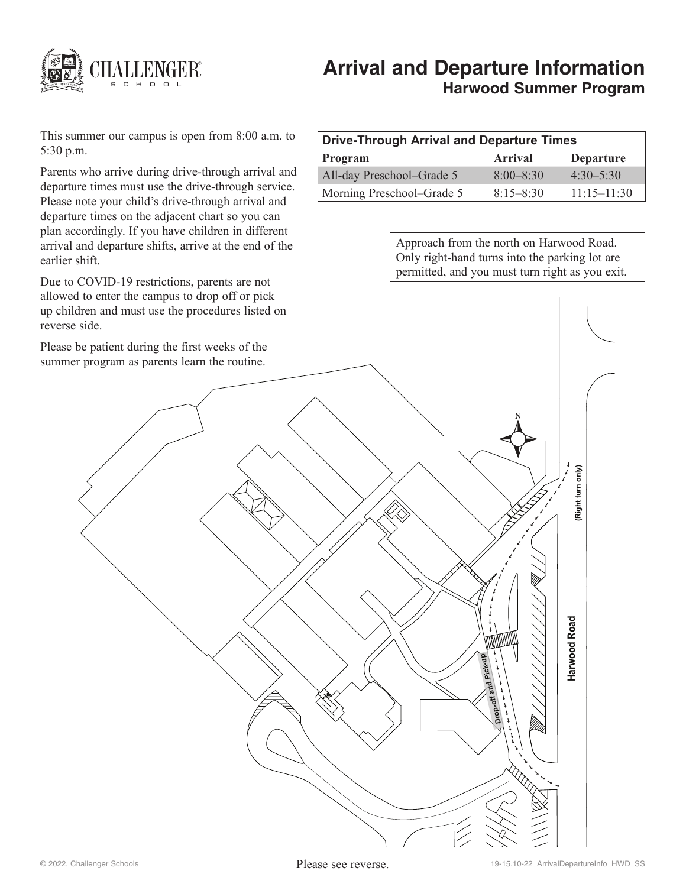

# **Arrival and Departure Information Harwood Summer Program**

This summer our campus is open from 8:00 a.m. to 5:30 p.m.

Parents who arrive during drive-through arrival and departure times must use the drive-through service. Please note your child's drive-through arrival and departure times on the adjacent chart so you can plan accordingly. If you have children in different arrival and departure shifts, arrive at the end of the earlier shift.

Due to COVID-19 restrictions, parents are not allowed to enter the campus to drop off or pick up children and must use the procedures listed on reverse side.

Please be patient during the first weeks of the summer program as parents learn the routine.

| Drive-Through Arrival and Departure Times |                |                  |
|-------------------------------------------|----------------|------------------|
| <b>Program</b>                            | <b>Arrival</b> | <b>Departure</b> |
| All-day Preschool-Grade 5                 | $8.00 - 8.30$  | $4.30 - 5.30$    |
| Morning Preschool–Grade 5                 | $8.15 - 8.30$  | $11.15 - 11.30$  |

Approach from the north on Harwood Road. Only right-hand turns into the parking lot are permitted, and you must turn right as you exit.